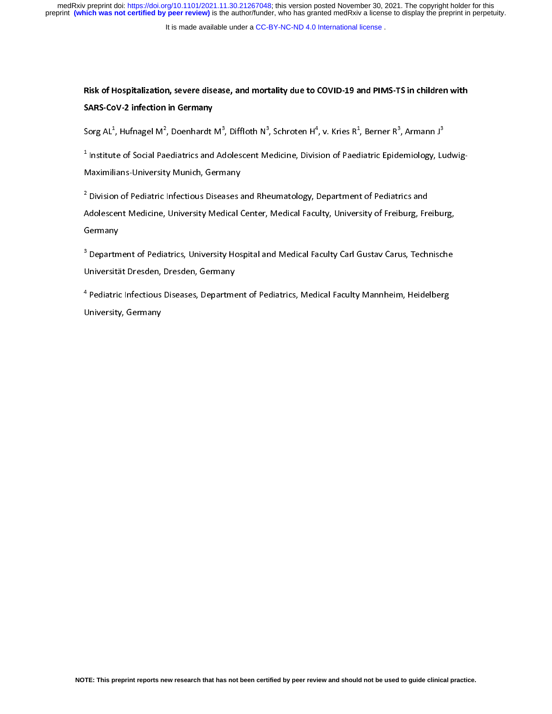It is made available under a [CC-BY-NC-ND 4.0 International license](http://creativecommons.org/licenses/by-nc-nd/4.0/) .

## Risk of Hospitalization, severe disease, and mortality due to COVID-19 and PIMS-TS in children with SARS-CoV-2 infection in Germany

Sorg AL", Hufnagel M", Doenhardt M", Diffloth N", Schroten H", V. Kries R", Berner R", Armann J"<br>.

Tinstitute of Social Paediatrics and Adolescent Medicine, Division of Paediatric Epidemiology, Ludwig-<br>-Maximilians-University Munich, Germany

2 Division of Pediatric Infectious Diseases and Rheumatology, Department of Pediatrics and Adolescent Medicine, University Medical Center, Medical Faculty, University of Freiburg, Freiburg, Germany

<sup>-</sup> Department of Pediatrics, University Hospital and Medical Faculty Carl Gustav Carus, Technische i Universität Dresden, Dresden, Germany

4 Pediatric Infectious Diseases, Department of Pediatrics, Medical Faculty Mannheim, Heidelberg University, Germany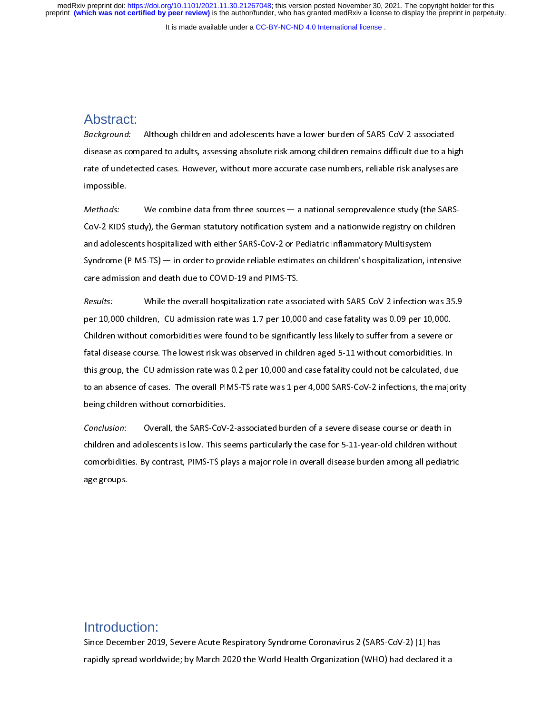It is made available under a [CC-BY-NC-ND 4.0 International license](http://creativecommons.org/licenses/by-nc-nd/4.0/) .

## Abstract:

 $\frac{1}{2}$  Background: Although children and adolescents have a lower burden of SARS-Cov-2-associated<br>disease as compared to adults, assessing absolute risk among children remains difficult due to a hig<br>rate of undetected cases. Howe

disease are of undetected cases. However, without more accurate case numbers, reliable risk analyses are<br>impossible.<br>Methods: We combine data from three sources — a national seroprevalence study (the SARS-CoV-2 KIDS study) rate of undetected cases. However, with the tected cases in the unit of youther and analysis and a methods:<br>Methods: We combine data from three sources — a national seroprevalence study (the SARS-CoV-2 KIDS study), the Ger impossible.<br>Methods:<br>CoV-2 KIDS :<br>and adolesc<br>Syndrome (I<br>care admiss Methods: We combine data from three sources — a national seroprevalence study (the SARS-CoV-2 KIDS study), the German statutory notification system and a nationwide registry on children and adolescents hospitalized with ei and adolescents hospitalized with either SARS-CoV-2 or Pediatric Inflammatory Multisystem<br>Syndrome (PIMS-TS) — in order to provide reliable estimates on children's hospitalization, intensive<br>care admission and death due to

Syndrome (PIMS-TS) — in order to provide reliable estimates on children's hospitalization, in<br>care admission and death due to COVID-19 and PIMS-TS.<br>Results: While the overall hospitalization rate associated with SARS-CoV-2 Syndrome (PIMS-TS) data admission and death due to COVID-19 and PIMS-TS.<br>
Sesults: While the overall hospitalization rate associated with SARS-CoV-2 infection was 35.9<br>
per 10,000 children, ICU admission rate was 1.7 per 1 Example administer and death due to COVID-19 and PIMS-PIM<br>Results: While the overall hospitalization rate asso<br>per 10,000 children, ICU admission rate was 1.7 per 10,00<br>Children without comorbidities were found to be signi Results: While the overall hospitalization rate associated with SARS-CoV-2 infection was 35.9<br>per 10,000 children, ICU admission rate was 1.7 per 10,000 and case fatality was 0.09 per 10,000.<br>Children without comorbidities per 10,000 children without comorbidities were found to be significantly less likely to suffer from a severe or<br>fatal disease course. The lowest risk was observed in children aged 5-11 without comorbidities. In<br>this group, Fatal disease course. The lowest risk was observed in children aged 5-11 without comorbidities. In<br>this group, the ICU admission rate was 0.2 per 10,000 and case fatality could not be calculated, dur<br>to an absence of cases this group, the ICU admission rate was 0.2 per 10,000 and case fatality could not be calculated, du<br>to an absence of cases. The overall PIMS-TS rate was 1 per 4,000 SARS-CoV-2 infections, the majo<br>being children without co

to an absence of cases. The overall PIMS-TS rate was 1 per 4,000 SARS-CoV-2 infections, the majorit<br>being children without comorbidities.<br>Conclusion: Overall, the SARS-CoV-2-associated burden of a severe disease course or to an absence of cases. The onclusion: Conclusion: Overall, the SARS-CoV-2-associated burden of a severe disease course or death in children and adolescents is low. This seems particularly the case for 5-11-year-old childr Conclusion: Overall, the SARS-CoV<br>children and adolescents is low. This s<br>comorbidities. By contrast, PIMS-TS pl<br>age groups. Concrusion: Overall, the SARS-Cov-2-associated burden of a severe disease course or death in<br>children and adolescents is low. This seems particularly the case for 5-11-year-old children withou<br>comorbidities. By contrast, P comorbidities. By contrast, PIMS-TS plays a major role in overall disease burden among all pediatric<br>age groups.<br>age groups. comorbidities. By contrast, PIMS-TS plays a major role in overall disease burden among all pediatric in overall pediatric in overall disease burden among all pediatric in overall pediatric in overall pediatric in overall p age groups.

# $\overline{a}$  $\frac{1}{2}$ Introduction:

 $\begin{array}{c} \n\frac{1}{2} & \frac{1}{2} \\ \n\frac{1}{2} & \frac{1}{2} \\ \n\frac{1}{2} & \frac{1}{2} \\ \n\frac{1}{2} & \frac{1}{2} \\ \n\frac{1}{2} & \frac{1}{2} \\ \n\frac{1}{2} & \frac{1}{2} \\ \n\frac{1}{2} & \frac{1}{2} \\ \n\frac{1}{2} & \frac{1}{2} \\ \n\frac{1}{2} & \frac{1}{2} \\ \n\frac{1}{2} & \frac{1}{2} \\ \n\frac{1}{2} & \frac{1}{2} \\ \n\frac{1}{2} & \frac{1}{$  $\begin{array}{c} \n \frac{1}{2} & \frac{1}{2} \\ \n \frac{1}{2} & \frac{1}{2} \\ \n \frac{1}{2} & \frac{1}{2} \\ \n \frac{1}{2} & \frac{1}{2} \\ \n \frac{1}{2} & \frac{1}{2} \\ \n \frac{1}{2} & \frac{1}{2} \\ \n \frac{1}{2} & \frac{1}{2} \\ \n \frac{1}{2} & \frac{1}{2} \\ \n \frac{1}{2} & \frac{1}{2} \\ \n \frac{1}{2} & \frac{1}{2} \\ \n \frac{1}{2} & \frac{1}{2} \\ \n \frac{1}{2} & \frac{1}{$ Since December 2029, Severe Acceptance, Syndrome Coronavirus 2 (SARS-Cov-2), [2] has<br>rapidly spread worldwide; by March 2020 the World Health Organization (WHO) had declared is rapidly spread worldwide; by March 2020 the World Health Organization (WHO) had declared it a<br>control Health Organization (WHO) had declared it and declared it and declared it and declared it and declared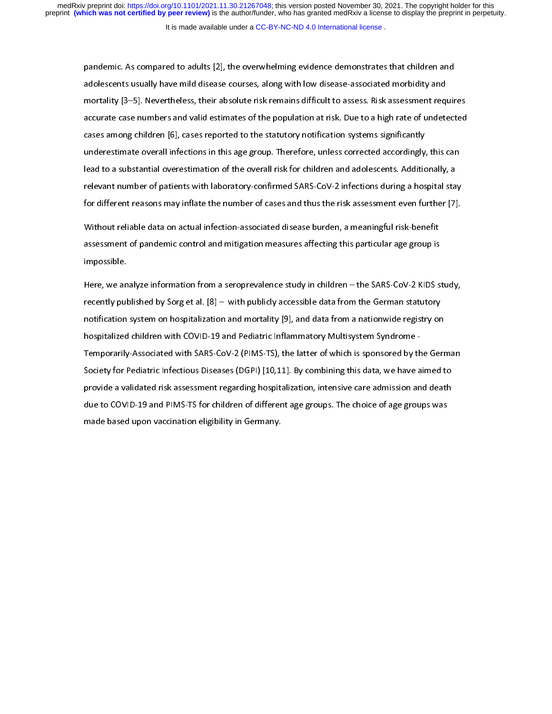pandemic. The particle to additionary of a comparison and descents usually have mild disease courses, along with low disease-associated morbidity and mortality [3–5]. Nevertheless, their absolute risk remains difficult to and mortality [3–5]. Nevertheless, their absolute risk remains difficult to assess. Risk assessment required accurate case numbers and valid estimates of the population at risk. Due to a high rate of undeted cases among ch mortane case numbers and valid estimates of the population at risk. Due to a high rate of undetected<br>cases among children [6], cases reported to the statutory notification systems significantly<br>underestimate overall infect cases among children [6], cases reported to the statutory notification systems significantly<br>underestimate overall infections in this age group. Therefore, unless corrected accordingly, this can<br>lead to a substantial overe cases among children [6], cases a provide to the statutory in a linearcy promoting underestimate overall infections in this age group. Therefore, unless corrected accordingly, lead to a substantial overestimation of the ov ead to a substantial overestimation of the overall risk for children and adolescents. Additionally, a<br>relevant number of patients with laboratory-confirmed SARS-CoV-2 infections during a hospital stay<br>for different reasons

relevant number of patients with laboratory-confirmed SARS-CoV-2 infections during a hospital sta<br>for different reasons may inflate the number of cases and thus the risk assessment even further [7]<br>Without reliable data on For different reasons may inflate the number of cases and thus the risk assessment even further [7].<br>Without reliable data on actual infection-associated disease burden, a meaningful risk-benefit<br>assessment of pandemic con Without reliable data on actual infection-associated disease burden, a meaningful risk-benefit<br>assessment of pandemic control and mitigation measures affecting this particular age group is<br>impossible.<br>Here, we analyze info

assessment of pandemic control and mitigation measures affecting this particular age group is<br>impossible.<br>Here, we analyze information from a seroprevalence study in children – the SARS-CoV-2 KIDS s<br>recently published by S assessment of panalisms control and mitigation measures after paralisms age group is<br>impossible.<br>Here, we analyze information from a seroprevalence study in children – the SARS-CoV-2 KIDS s<br>recently published by Sorg et al Free, we an<br>recently pul<br>notification<br>hospitalized<br>Temporarily Here, we analyze intermediate the seroppediate study, in children and the German statutory<br>recently published by Sorg et al. [8] – with publicly accessible data from the German statutory<br>notification system on hospitalizat recently published by Sorg et al. [9] – with public public data from a nationwide registry on<br>hospitalized children with COVID-19 and Pediatric Inflammatory Multisystem Syndrome -<br>Temporarily-Associated with SARS-CoV-2 (PI notification system on the COVID-19 and Pediatric Inflammatory Multisystem Syndrome -<br>Temporarily-Associated with SARS-CoV-2 (PIMS-TS), the latter of which is sponsored by the Gerr<br>Society for Pediatric Infectious Diseases Temporarily-Associated with SARS-CoV-2 (PIMS-TS), the latter of which is sponsored by th<br>Society for Pediatric Infectious Diseases (DGPI) [10,11]. By combining this data, we have a<br>provide a validated risk assessment regar Society for Pediatric Infectious Diseases (DGPI) [10,11]. By combining this data, we have aimed to provide a validated risk assessment regarding hospitalization, intensive care admission and death due to COVID-19 and PIMSsociety for Pediatric Infectious, intensive care admission and death<br>due to COVID-19 and PIMS-TS for children of different age groups. The choice of age groups was<br>made based upon vaccination eligibility in Germany. provide a validated risk assessment regarding assessment risk, intensive care admission and hospital<br>due to COVID-19 and PIMS-TS for children of different age groups. The choice of age groups was<br>made based upon vaccinatio made based upon vaccination eligibility in Germany.<br>The choice of age groups was different age groups was different age groups was different age groups was different age groups was different age groups was different age gr made based upon vaccination eligibility in Germany.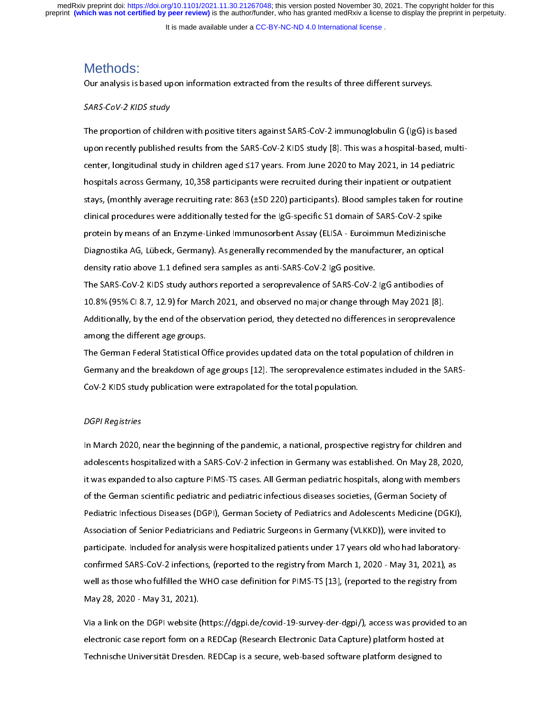It is made available under a [CC-BY-NC-ND 4.0 International license](http://creativecommons.org/licenses/by-nc-nd/4.0/) .

## Methods:

#### SARS-CoV-2 KIDS study

SARS-CoV-2 KIDS study<br>
The proportion of children with positive titers against SARS-CoV-2 immunoglobulin G (IgG) is<br>
upon recently published results from the SARS-CoV-2 KIDS study [8]. This was a hospital-base<br>
center, lon The proportion of children with positive titers against SARS-CoV-2 immunoglobulin G (IgG) is based  $u_{\rm max}$  recently published results from the SARS-CoV-2 KIDS study  $\sim$  1. This was a hospital-based, multi-based, multi-based, multi-based, multi-based, multi-based, multi-based, multi-based, multi-based, multi-based, mu center, longitudinal stays, (monthly average recruiting rate: 863 (±SD 220) participants). Blood samples taken for routin<br>clinical procedures were additionally tested for the IgG-specific S1 domain of SARS-CoV-2 spike<br>prot hospitals across paralytical procedures were additionally tested for the IgG-specific S1 domain of SARS-CoV-2 spike<br>protein by means of an Enzyme-Linked Immunosorbent Assay (ELISA - Euroimmun Medizinische<br>protein by means stays, (monthly average recruiting rates over  $(252 - 227)$  participants). Blood samples taken for taking clinical procedures were additionally tested for the IgG-specific S1 domain of SARS-CoV-2 spike<br>protein by means of a protein by means of an Enzyme-Linked Immunosorbent Assay (ELISA - Euroimmun Medizinische<br>Diagnostika AG, Lübeck, Germany). As generally recommended by the manufacturer, an optical<br>density ratio above 1.1 defined sera sampl

protein by the manufacturer, an optical<br>Diagnostika AG, Lübeck, Germany). As generally recommended by the manufacturer, an optical<br>density ratio above 1.1 defined sera samples as anti-SARS-CoV-2 IgG positive.<br>The SARS-CoVdensity ratio above 1.1 defined sera samples as anti-SARS-CoV-2 IgG positive.<br>The SARS-CoV-2 KIDS study authors reported a seroprevalence of SARS-CoV-2 IgG antibodies of<br>10.8% (95% CI 8.7, 12.9) for March 2021, and observe The SARS-CoV-2 KIDS study authors reported a seroprevalence of SARS-CoV-2<br>10.8% (95% CI 8.7, 12.9) for March 2021, and observed no major change throu<br>Additionally, by the end of the observation period, they detected no dif The SARS-COV-2 (18.7, 12.9) for March 2021, and observed no major change through May 2021 [8].<br>Additionally, by the end of the observation period, they detected no differences in seroprevalen<br>among the different age groups

Additionally, by the end of the observation period, they detected no differences in seroprevalen<br>among the different age groups.<br>The German Federal Statistical Office provides updated data on the total population of childr Additional and the different age groups.<br>And of the German Federal Statistical Office provides updated data on the total population of children in<br>Germany and the breakdown of age groups [12]. The seroprevalence estimates The German Federal Statistical O<br>Germany and the breakdown of a<br>CoV-2 KIDS study publication wer<br>DGPI Registries The Germany and the breakdown of age groups [12]. The seroprevalence estimates included in the SAF<br>CoV-2 KIDS study publication were extrapolated for the total population.<br>DGPI Registries<br>In March 2020, near the beginning

#### DGPI Registries

adolescents hospitalized with a SARS-CoV-2 infection in Germany was established. On May 28, 2020, Coverties that study publication were extrapolated for the total population.<br>Coverting the parameters of the total population were extrapolated in March 2020, near the beginning of the pandemic, a national, prospection<br>ado ן<br>ו<br>ג In March 2020, and a set abilished. On May 28, 2020, it was expanded to also capture PIMS-TS cases. All German pediatric hospitals, along with members of the German scientific pediatric and pediatric infectious diseases so adolescents hospitalized with a SARS-TS cases. All German pediatric hospitals, along with members<br>of the German scientific pediatric and pediatric infectious diseases societies, (German Society of<br>Pediatric Infectious Dise Find any displantance into the expanded to also capture Proman pediatric infectious diseases societies, (German Society of Pediatric Infectious Diseases (DGPI), German Society of Pediatrics and Adolescents Medicine (DGKJ), Pediatric Infectious Diseases (DGPI), German Society of Pediatrics and Adolescents Medicine (DG<br>Association of Senior Pediatricians and Pediatric Surgeons in Germany (VLKKD)), were invited to<br>participate. Included for anal Association of Senior Pediatricians and Pediatric Surgeons in Germany (VLKKD)), were invited to<br>participate. Included for analysis were hospitalized patients under 17 years old who had laboratory-<br>confirmed SARS-CoV-2 infe participate. Included for analysis were hospitalized patients under 17 years old who had laborate<br>confirmed SARS-CoV-2 infections, (reported to the registry from March 1, 2020 - May 31, 2021),<br>well as those who fulfilled t

electronic case report form on a REDCap (Research Electronic Data Capture) platform hosted at confirmed SARS-Cover-2 inferences (reported to the registry from May 28, 2020 - May 31, 2021).<br>May 28, 2020 - May 31, 2021).<br>Via a link on the DGPI website (https://dgpi.de/covid-19-survey-der-dgpi/), access was provided t WERE WAS LO20 - May 31, 2021).<br>May 28, 2020 - May 31, 2021).<br>Via a link on the DGPI website (https://dgpi.de/covid-19-survey-der-dgpi/), access was provided to a<br>electronic case report form on a REDCap (Research Electronic *Maxer and May 28, 2021*<br>
2021 - May 2021<br>
2021 - May 2021 - May 2021<br>
2021 - May 2021<br>
2022<br>
2022 - May 2021<br>
2022<br>
2022<br>
2022<br>
2023<br>
2022<br>
2023<br>
2023<br>
2023<br>
2023<br>
2023<br>
2023<br>
2023<br>
2024<br>
2024<br>
2024<br>
2024<br>
2024<br>
2024<br>
202 Right of the DGPI website (https://discovid-19-survey-dectronic bata Capture) platform hosted at<br>Technische Universität Dresden. REDCap is a secure, web-based software platform designed to<br>Technische Universität Dresden. R Fechnische Universität Dresden. REDCap is a secure, web-based software platform designed to<br>Technische Universität Dresden. REDCap is a secure, web-based software platform designed to Technische Universität Dresden. REDCap is a secure, web-based software platform designed to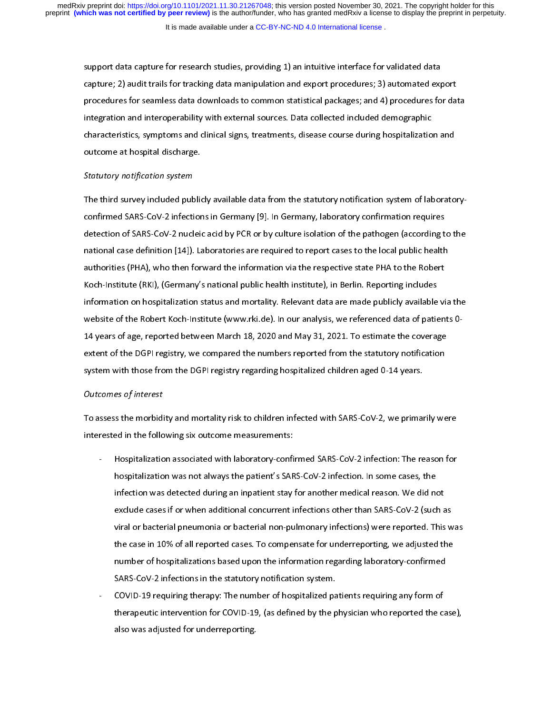support data capture for tracking data manipulation and export procedures; 3) automated exprocedures for seamless data downloads to common statistical packages; and 4) procedures for seamless data downloads to common stati procedures for seamless data downloads to common statistical packages; and 4) procedures for dat<br>integration and interoperability with external sources. Data collected included demographic<br>characteristics, symptoms and cli integration and interoperability with external sources. Data collected included demographic<br>characteristics, symptoms and clinical signs, treatments, disease course during hospitalization and<br>outcome at hospital discharge. integration and clinical signs, treatments, disease course during hospitalization<br>
discussed at hospital discharge.<br>
Statutory notification system<br>
The third survey included publicly available data from the statutory notif

#### Statutory notification system

characteristics, symptoms and clinical signs, it cannot by an external clining hospitalization and<br>outcome at hospital discharge.<br>The third survey included publicly available data from the statutory notification system of Statutory notification system<br>The third survey included public<br>confirmed SARS-CoV-2 infection<br>detection of SARS-CoV-2 nuclein  $T_{\rm eff}$  included publicly available data from the statutory notification system of laboratory notification system of laboratory notification system of laboratoryconfirmed SARS-CoV-2 nucleic acid by PCR or by culture isolation of the pathogen (according t<br>national case definition [14]). Laboratories are required to report cases to the local public health<br>authorities (PHA), who then national case definition [14]). Laboratories are required to report cases to the local public health<br>authorities (PHA), who then forward the information via the respective state PHA to the Robert<br>Koch-Institute (RKI), (Ger authorities (PHA), who then forward the information via the respective state PHA to the Robert<br>Koch-Institute (RKI), (Germany's national public health institute), in Berlin. Reporting includes<br>information on hospitalizatio Koch-Institute (RKI), (Germany's national public health institute), in Berlin. Reporting includes<br>information on hospitalization status and mortality. Relevant data are made publicly available vi<br>website of the Robert Koch Information on hospitalization status and mortality. Relevant data are made publicly available<br>Website of the Robert Koch-Institute (www.rki.de). In our analysis, we referenced data of patie<br>14 years of age, reported betwe information on he Robert Koch-Institute (www.rki.de). In our analysis, we referenced data of patients 0-<br>14 years of age, reported between March 18, 2020 and May 31, 2021. To estimate the coverage<br>extent of the DGPI regist website of the Robert Koch-Institute (www.rkies.) We can also yet the Robert Koch-Institute (when the coverage<br>extent of the DGPI registry, we compared the numbers reported from the statutory notification<br>system with those extent of the DGPI registry, we compared the numbers reported from the statutory notification<br>system with those from the DGPI registry regarding hospitalized children aged 0-14 years.<br>Outcomes of interest<br>To assess the mor

#### Outcomes of interest

extern with those from the DGPI registry regarding hospitalized children aged 0-14 years.<br>Outcomes of interest<br>To assess the morbidity and mortality risk to children infected with SARS-CoV-2, we primarily we<br>interested in System with the DU register of the DU register of the DU registry outcomes of interest<br>To assess the morbidity and mortality risk to children infected with SARS-CoV-2, we primal<br>interested in the following six outcome meas

- The more more measurements:<br>The morbidization associated with laboratory-confirmed SARS-CoV-2 infection: The reason for<br>hospitalization was not always the patient's SARS-CoV-2 infection. In some cases, the<br>infection was de Interational associated with laboratory-confictions<br>interpretialization was not always the patient's SAR<br>infection was detected during an inpatient stay<br>exclude cases if or when additional concurrent interval or bacterial hospitalization was not always the patient's SARS-CoV-2 infection. In some cases, the<br>infection was detected during an inpatient stay for another medical reason. We did not<br>exclude cases if or when additional concurrent in hospitalization was detected during an inpatient stay for another medical reason. We did not<br>exclude cases if or when additional concurrent infections other than SARS-CoV-2 (such<br>viral or bacterial pneumonia or bacterial n exclude cases if or when additional concurrent infections other than SARS-CoV-2 (such a<br>viral or bacterial pneumonia or bacterial non-pulmonary infections) were reported. This<br>the case in 10% of all reported cases. To comp viral or bacterial pneumonia or bacterial non-pulmonary infections) were reported. This w<br>the case in 10% of all reported cases. To compensate for underreporting, we adjusted the<br>number of hospitalizations based upon the i the case in 10% of all reported cases. To compensate for underreporting, we adjusted the<br>number of hospitalizations based upon the information regarding laboratory-confirmed<br>SARS-CoV-2 infections in the statutory notificat
	- the case in 10% of all reports in 10% of all reports in 10% of all reports in the statutory notification system.<br>
	SARS-CoV-2 infections in the statutory notification system.<br>
	COVID-19 requiring therapy: The number of hospi number of hospitalizations in the statutory notification system.<br>COVID-19 requiring therapy: The number of hospitalized patients requiring any form of<br>therapeutic intervention for COVID-19, (as defined by the physician who SARS-2 in a statute in the statutory notification system.<br>COVID-19 requiring therapy: The number of hospitalized pa<br>therapeutic intervention for COVID-19, (as defined by the p<br>also was adjusted for underreporting. therapeutic intervention for COVID-19, (as defined by the physician who reported the calso was adjusted for underreporting.  $t$  also was adjusted for underreporting. also was adjusted for underreporting.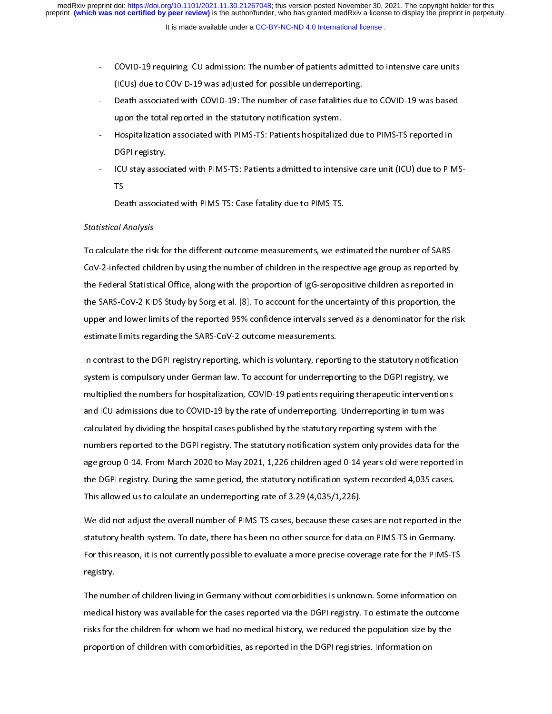- 
- (ICUs) due to COVID-19 was adjusted for possible underreporting.<br>Death associated with COVID-19: The number of case fatalities due to COVID-19 was based<br>upon the total reported in the statutory notification system.<br>Hospita (ICUS) Death associated with COVID-19: The number of case fatalities due<br>upon the total reported in the statutory notification system.<br>Hospitalization associated with PIMS-TS: Patients hospitalized due<br>DGPI registry.<br>ICU s
- 
- upon the total reported in the statutory notification system.<br>- Hospitalization associated with PIMS-TS: Patients hospitalized due to PIMS-TS reported in<br>DGPI registry.<br>- ICU stay associated with PIMS-TS: Patients admitted upon the total reports of the HMS-TS: Patients hospitalized<br>DGPI registry.<br>ICU stay associated with PIMS-TS: Patients admitted to inten<br>TS<br>Death associated with PIMS-TS: Case fatality due to PIMS-TS. - Hospitalization associated with PIMS-TS: Patients admitted to intensive care unit (ICU) due to PIN<br>TS<br>- Death associated with PIMS-TS: Case fatality due to PIMS-TS.<br>istical Analysis ICU stay associ<br>ICU stay associ<br>TS<br>Death associat<br>*al Analysis*
- 

### Statistical Analysis

- ICU stay associated with PIMS-TS: Case fatality due to PIMS-TS.<br>
Istical Analysis<br>
alculate the risk for the different outcome measurements, we estimated the number of SARS-<br>
2 infected obildrep by using the number of ob De<br>*al A*<br>Iate<br>Infer istical Analysis<br>alculate the risk for the different outcome measurements, we est<br>-2-infected children by using the number of children in the respected<br>Federal Statistical Office, along with the proportion of IgG-seropo  $T_{\rm c}$  for the different outcome measurements, we estimate  $T_{\rm c}$ the Federal Statistical Office, along with the proportion of IgG-seropositive children as reported in<br>the SARS-CoV-2 KIDS Study by Sorg et al. [8]. To account for the uncertainty of this proportion, the<br>upper and lower lim the SARS-CoV-2 KIDS Study by Sorg et al. [8]. To account for the uncertainty of this proportion, the<br>upper and lower limits of the reported 95% confidence intervals served as a denominator for the ri<br>estimate limits regard

the SARS-CoV-2 outcome measurements.<br>
Upper and lower limits of the reported 95% confidence intervals served as a denominator for the ri<br>
estimate limits regarding the SARS-CoV-2 outcome measurements.<br>
In contrast to the D estimate limits regarding the SARS-CoV-2 outcome measurements.<br>In contrast to the DGPI registry reporting, which is voluntary, reporting to the statutory notification<br>system is compulsory under German law. To account for u estimate minitologicaling the SMR of the SARS-Community incontrast to the DGPI registry reporting, which is voluntary, report<br>system is compulsory under German law. To account for underrepo<br>multiplied the numbers for hospi In the DGPI registry, we<br>In the DGPI registry, we<br>multiplied the numbers for hospitalization, COVID-19 patients requiring therapeutic interventions<br>and ICU admissions due to COVID-19 by the rate of underreporting. Underrep system in the numbers for hospitalization, COVID-19 patients requiring therapeutic interventions<br>and ICU admissions due to COVID-19 by the rate of underreporting. Underreporting in turn was<br>calculated by dividing the hospi multiplied the numbers for hospitalization, COVID-19 by the rate of underreporting. Underreporting in turn was<br>calculated by dividing the hospital cases published by the statutory reporting system with the<br>numbers reported and ICU administrations and ICU administrations due to match principle in the rate of undertained by dividing the hospital cases published by the statutory reporting system with the numbers reported to the DGPI registry. T calculated by an analysing the hospital cases published by the bidding system informulation<br>numbers reported to the DGPI registry. The statutory notification system only provides data for<br>age group 0-14. From March 2020 to age group 0-14. From March 2020 to May 2021, 1,226 children aged 0-14 years old were reported in<br>the DGPI registry. During the same period, the statutory notification system recorded 4,035 cases.<br>This allowed us to calcula

age group of 2014. From March 2020 to May 2020, 2020 to March 2020 to May 2020 to May 2020 to May 2020 to May 2020 to May 2021, this allowed us to calculate an underreporting rate of 3.29 (4,035/1,226).<br>We did not adjust t This allowed us to calculate an underreporting rate of 3.29 (4,035/1,226).<br>We did not adjust the overall number of PIMS-TS cases, because these cases are not reported in th<br>statutory health system. To date, there has been The allowed us to calculate an underreporting rate of  $2.22$ ,  $(9.23)$  and  $(9.23)$ ,  $(9.23)$ ,  $(9.23)$ ,  $(9.23)$ ,  $(9.23)$ ,  $(9.23)$ ,  $(9.23)$ ,  $(9.23)$ ,  $(9.23)$ ,  $(9.23)$ ,  $(9.23)$ ,  $(9.23)$ ,  $(9.23)$ ,  $(9.23)$ ,  $(9.23)$ Measure the overall notation in the overall number of the overall interest the overall number of this reason, it is not currently possible to evaluate a more precise coverage rate for the PIMS-TS registry.<br>The number of ch

For this reason, it is not currently possible to evaluate a more precise coverage rate for the PIMS-TS registry.<br>The number of children living in Germany without comorbidities is unknown. Some information on medical histor For the number of children living in Germany without comorbidities is unknown. Some information on<br>medical history was available for the cases reported via the DGPI registry. To estimate the outcome<br>risks for the children The num<br>The num<br>medical l<br>risks for t<br>proportic medical history was available for the cases reported via the DGPI registry. To estimate the outcome<br>risks for the children for whom we had no medical history, we reduced the population size by the<br>proportion of children wi medical history, the children for whom we had no medical history, we reduced the population size by the proportion of children with comorbidities, as reported in the DGPI registries. Information on proportion of children with comorbidities, as reported in the DGPI registries. Information on  $\frac{1}{2}$ proportion of children with comorbidities, as reported in the DGPI registries. Information on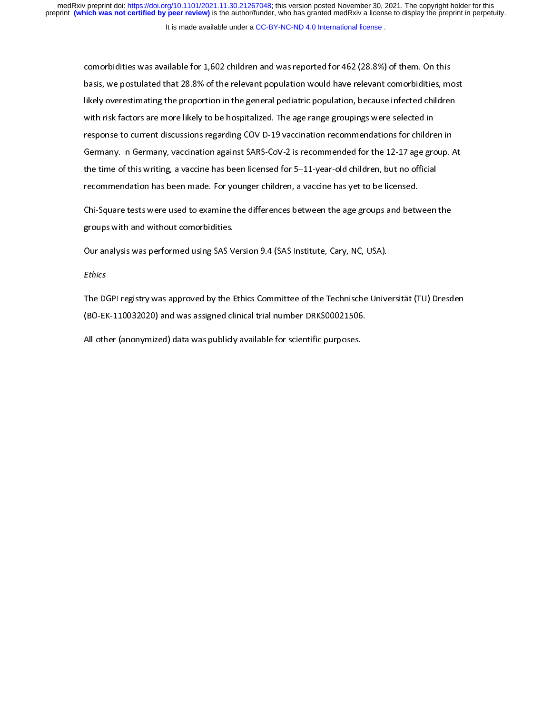It is made available under a [CC-BY-NC-ND 4.0 International license](http://creativecommons.org/licenses/by-nc-nd/4.0/) .

basis, we postulated that 28.8% of the relevant population would have relevant comorbidities, more basis, we postulated that 28.8% of the relevant population would have relevant comorbidities, more likely overestimating th likely overestimating the proportion in the general pediatric population, because infected children<br>with risk factors are more likely to be hospitalized. The age range groupings were selected in<br>response to current discuss with risk factors are more likely to be hospitalized. The age range groupings were selected in<br>response to current discussions regarding COVID-19 vaccination recommendations for children in<br>Germany. In Germany, vaccination response to current discussions regarding COVID-19 vaccination recommendations for childre<br>Germany. In Germany, vaccination against SARS-CoV-2 is recommended for the 12-17 age gro<br>the time of this writing, a vaccine has be response to current discussions, a vaccination of the current discussion of the 12-17 age group.<br>
the time of this writing, a vaccine has been licensed for 5–11-year-old children, but no official<br>
recommendation has been m The time of this writing, a vaccine has been licensed for 5–11-year-old children, but no official<br>recommendation has been made. For younger children, a vaccine has yet to be licensed.<br>Chi-Square tests were used to examine

the time of this time of this writing, a vacuum of the time of the state of this second<br>recommendation has been made. For younger children, a vaccine has yet to be licensed.<br>Chi-Square tests were used to examine the differ Chi-Square tests were used to examine the differences between the age groups and between yet to be licensed.<br>Browns with and without comorbidities.<br>Our analysis was performed using SAS Version 9.4 (SAS Institute, Cary, NC, Chies with and without comorbidities.<br>Chi-Square with and without comorbidities.<br>Chi-Square and the age groups was performed using SAS Version 9.4 (SAS Institute, Cary, NC, USA).<br>The DGPI registry was approved by the Ethic

Ethics

groups with and without comordinate.<br>Our analysis was performed using SAS V<br>Ethics<br>The DGPI registry was approved by the E<br>(BO-EK-110032020) and was assigned cli Ethics<br>The DGPI registry was approved by the Ethics Committee of the Technische Unive<br>(BO-EK-110032020) and was assigned clinical trial number DRKS00021506.<br>All other (anonymized) data was publicly available for scientific The Deptember of the Ethics Committee of the Technische University (Tu) Dresden<br>(BO-EK-110032020) and was assigned clinical trial number DRKS00021506.<br>All other (anonymized) data was publicly available for scientific purpo

(BO-ER-11003212) and was assigned cancel transmissed clinical transmissed control of the clinical trial other<br>All other (anonymized) data was publicly available for scientific purposes. All other (anonymized) data was publicly available for scientific purposes.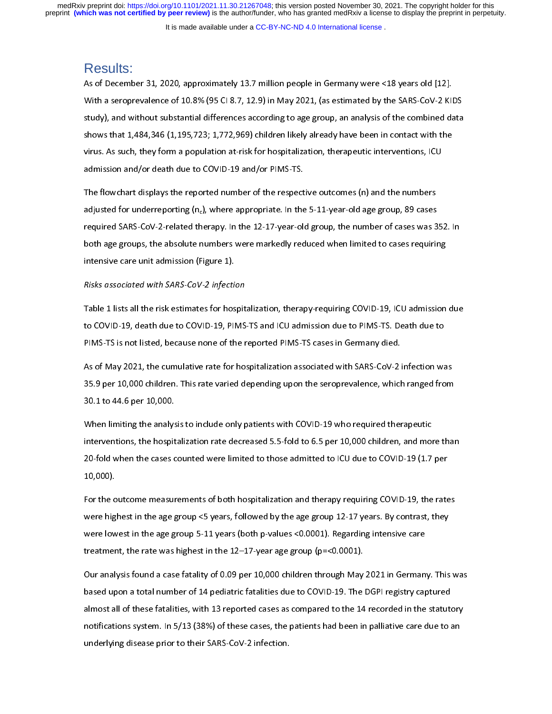It is made available under a [CC-BY-NC-ND 4.0 International license](http://creativecommons.org/licenses/by-nc-nd/4.0/) .

## Results:

With a seroprevalence of 10.8% (95 CI 8.7, 12.9) in May 2021, (as estimated by the SARS-CoV-2 KII<br>study), and without substantial differences according to age group, an analysis of the combined da<br>shows that 1,484,346 (1,1 Study), and without substantial differences according to age group, an analysis of the combined data<br>shows that 1,484,346 (1,195,723; 1,772,969) children likely already have been in contact with the<br>virus. As such, they fo shows that 1,484,346 (1,195,723; 1,772,969) children likely already have been in contact with the<br>virus. As such, they form a population at-risk for hospitalization, therapeutic interventions, ICU<br>admission and/or death du

virus. As such, they form a population at-risk for hospitalization, therapeutic interventions, ICU<br>admission and/or death due to COVID-19 and/or PIMS-TS.<br>The flowchart displays the reported number of the respective outcom admission and/or death due to COVID-19 and/or PIMS-TS.<br>The flowchart displays the reported number of the respective outcomes (n) and the numbers<br>adjusted for underreporting (n<sub>c</sub>), where appropriate. In the 5-11-year-old The flowchart displays the reported number of the respect<br>adjusted for underreporting (n<sub>c</sub>), where appropriate. In the<br>required SARS-CoV-2-related therapy. In the 12-17-year-ole<br>both age groups, the absolute numbers were adjusted for underreporting  $(n_c)$ , where appropriate. In the 5-11-year-old age group, 89 cases<br>required SARS-CoV-2-related therapy. In the 12-17-year-old group, the number of cases was 3<br>both age groups, the absolute numb required SARS-CoV-2-related therapy. In the 12-17-year-old group, the number of cases was 3<br>both age groups, the absolute numbers were markedly reduced when limited to cases requirin<br>intensive care unit admission (Figure 1 required state set in a control interpretent of the 12-17-year-old group, are manufactored there into set there<br>both age groups, the absolute numbers were markedly reduced when limited to cases requiring<br>intensive care uni

#### Risks associated with SARS-CoV-2 infection

intensive care unit admission (Figure 1).<br>Risks associated with SARS-CoV-2 infection<br>Table 1 lists all the risk estimates for hospitalization, therapy-requiring COVID-19, ICU admission<br>to COVID-19, death due to COVID-19, P Risks associated with SARS-CoV-2 infection<br>Table 1 lists all the risk estimates for hos<br>to COVID-19, death due to COVID-19, PIP<br>PIMS-TS is not listed, because none of th

Table 1 and 1 divertimates for hospitalization, analy prequiring COVID-19, death due to<br>the COVID-19, death due to COVID-19, PIMS-TS and ICU admission due to PIMS-TS. Death due to<br>PIMS-TS is not listed, because none of the PIMS-TS is not listed, because none of the reported PIMS-TS cases in Germany died.<br>As of May 2021, the cumulative rate for hospitalization associated with SARS-CoV-2 infection wa<br>35.9 per 10,000 children. This rate varied As of May 2021, the cumulative rate for hospitalization associated with SARS-CoV-2 is<br>35.9 per 10,000 children. This rate varied depending upon the seroprevalence, which<br>30.1 to 44.6 per 10,000.<br>When limiting the analysis

As the cumulation of May 2021, the cumulation as the cumulation of the seroprevalence, which ranged from<br>30.1 to 44.6 per 10,000.<br>When limiting the analysis to include only patients with COVID-19 who required therapeutic<br>i 30.1 to 44.6 per 10,000.<br>When limiting the analysis to include only patients with COVID-19 who required therapeutic<br>interventions, the hospitalization rate decreased 5.5-fold to 6.5 per 10,000 children, and more than<br>20-fo When limiting the analys<br>interventions, the hospit<br>20-fold when the cases c<br>10,000). Interventions, the hospitalization rate decreased 5.5-fold to 6.5 per 10,000 children, and more 20-fold when the cases counted were limited to those admitted to ICU due to COVID-19 (1.7<br>10,000).<br>For the outcome measurement

interventions, the hospitalization rate decreased for the respected to ICU due to COVID-19 (1.7 per 10,000).<br>10,000).<br>For the outcome measurements of both hospitalization and therapy requiring COVID-19, the rates<br>were high 20-fold when the cases counted were limited to the cannot of the case of the cases.<br>20,000).<br>For the outcome measurements of both hospitalization and therapy requiring COVID-19, the rate<br>were highest in the age group <5 ye for the o<br>For the o<br>were hig<br>treatmer<br>Our analy For the outcome measurements of statistic measurements of the property requiring of the last sum were highest in the age group 5-11 years (both p-values <0.0001). Regarding intensive care treatment, the rate was highest in

were lowest in the age group 5-11 years (both p-values <0.0001). Regarding intensive care<br>treatment, the rate was highest in the 12–17-year age group (p=<0.0001).<br>Our analysis found a case fatality of 0.09 per 10,000 child treatment, the rate was highest in the 12–17-year age group (p=<0.0001).<br>Our analysis found a case fatality of 0.09 per 10,000 children through May 2021 in German<br>based upon a total number of 14 pediatric fatalities due t Our analysis found a case fatality of 0.09 per 10,000 children through May<br>based upon a total number of 14 pediatric fatalities due to COVID-19. The<br>almost all of these fatalities, with 13 reported cases as compared to the based upon a total number of 14 pediatric fatalities due to COVID-19. The DGPI registry captured<br>almost all of these fatalities, with 13 reported cases as compared to the 14 recorded in the statutory<br>notifications system. almost all of these fatalities, with 13 reported cases as compared to the 14 recorded in the statute<br>notifications system. In 5/13 (38%) of these cases, the patients had been in palliative care due to a<br>underlying disease and these fatalities, while the procedure in the particle in the 14 recorded in the cases, in<br>notifications system. In 5/13 (38%) of these cases, the patients had been in palliative care due to an<br>underlying disease prior underlying disease prior to their SARS-CoV-2 infection.<br>
The patients of the patients had been in particular to an analysis of the patients of an analysis of an analysis of an analysis of an analysis of the particular to a underlying disease prior to their SARS-CoV-2 infection.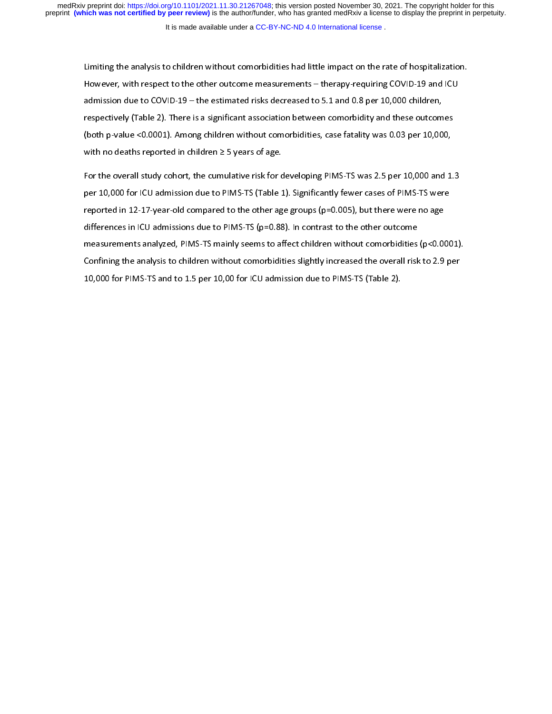It is made available under a [CC-BY-NC-ND 4.0 International license](http://creativecommons.org/licenses/by-nc-nd/4.0/) .

However, with respect to the other outcome measurements – therapy-requiring COVID-19 and ICU<br>admission due to COVID-19 – the estimated risks decreased to 5.1 and 0.8 per 10,000 children,<br>respectively (Table 2). There is a admission due to COVID-19 – the estimated risks decreased to 5.1 and 0.8 per 10,000 children,<br>respectively (Table 2). There is a significant association between comorbidity and these outcomes<br>(both p-value <0.0001). Among respectively (Table 2). There is a significant association between comorbidity and these outcom<br>(both p-value <0.0001). Among children without comorbidities, case fatality was 0.03 per 10,00<br>with no deaths reported in chi

(both p-value <0.0001). Among children without comorbidities, case fatality was 0.03 per 10,000,<br>with no deaths reported in children  $\geq$  5 years of age.<br>For the overall study cohort, the cumulative risk for developing P with no deaths reported in children  $\geq$  5 years of age.<br>For the overall study cohort, the cumulative risk for developing PIMS-TS was 2.5 per 10,000 and 1<br>per 10,000 for ICU admission due to PIMS-TS (Table 1). Significan For the overall study cohort, the cumulative risk for c<br>per 10,000 for ICU admission due to PIMS-TS (Table 1<br>reported in 12-17-year-old compared to the other ag<br>differences in ICU admissions due to PIMS-TS (p=0.88<br>measurem For the overall study fewer cases of PIMS-TS were<br>reported in 12-17-year-old compared to the other age groups (p=0.005), but there were no age<br>differences in ICU admissions due to PIMS-TS (p=0.88). In contrast to the other per 10,000 for 11,000 for PIMS-TS and to 1.5 per 10,00 for ICU admission due to PIMS-TS (Table 2).<br>The other were monoger and the set of PIMS-TS (P=0.88). In contrast to the other outcome measurements analyzed, PIMS-TS mai represent in 12-17, the completence in terms of groups (p=10.25), and measurements in 120 admissions due to PIMS-TS (p=0.88). In contrast to the other outcome measurements analyzed, PIMS-TS mainly seems to affect children measurements analyzed, PIMS-TS mainly seems to affect children without comorbidities<br>Confining the analysis to children without comorbidities slightly increased the overall risk<br>10,000 for PIMS-TS and to 1.5 per 10,00 for confining the analysis to children without comorbidities slightly increased the overall risk to 2.9 per<br>10,000 for PIMS-TS and to 1.5 per 10,00 for ICU admission due to PIMS-TS (Table 2).  $\sim$  10,000 for PIMS-TS and to 1.5 per 10,00 for ICU admission due to PIMS-TS (Table 2). 10,000 for PIMS-TS and to 1.5 per 10,00 for ICU admission due to PIMS-TS (Table 2).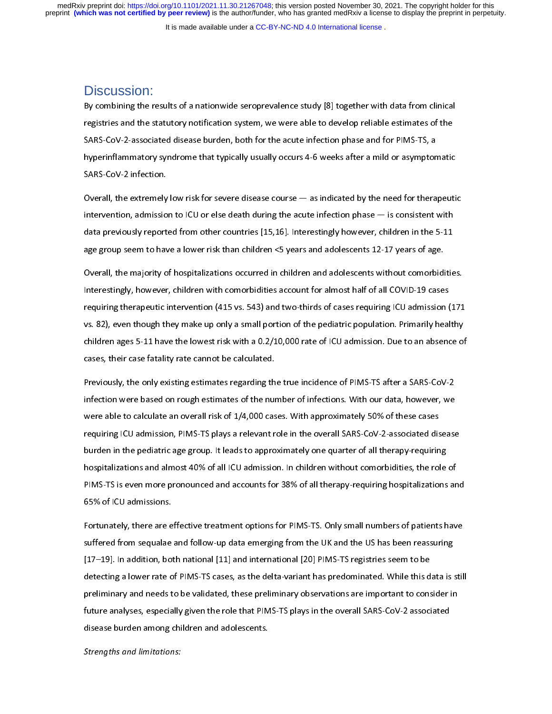It is made available under a [CC-BY-NC-ND 4.0 International license](http://creativecommons.org/licenses/by-nc-nd/4.0/) .

## Discussion:

|<br>|<br>|<br>| Experimently the results of a nationwide serope client,  $\{e\}$  is general that data from clinical registries and the statutory notification system, we were able to develop reliable estimates of the SARS-CoV-2-associated d SARS-CoV-2-associated disease burden, both for the acute infection phase and for PIMS-TS, a<br>hyperinflammatory syndrome that typically usually occurs 4-6 weeks after a mild or asymptomatic<br>SARS-CoV-2 infection.<br>Overall, the

SARS-CoV-2 infection.<br>SARS-CoV-2 infection.<br>Overall, the extremely low risk for severe disease course — as indicated by the need for thera<br>intervention, admission to ICU or else death during the acute infection phase — is SARS-CoV-2 infection.<br>Overall, the extremely low risk for severe disease course — as indicated by the need for therapeuti<br>intervention, admission to ICU or else death during the acute infection phase — is consistent with<br>d Overall, the extremely<br>intervention, admissio<br>data previously report<br>age group seem to hav Intervention, admission to ICU or else death during the acute infection phase — is consistent with<br>data previously reported from other countries [15,16]. Interestingly however, children in the 5-11<br>age group seem to have a

intervention, admission to ICU or elemention, the acute death during the acute of the acute of data previously reported from other countries [15,16]. Interestingly however, children in the 5-11 age group seem to have a low age group seem to have a lower risk than children <5 years and adolescents 12-17 years of age.<br>Overall, the majority of hospitalizations occurred in children and adolescents without comorbiditie<br>Interestingly, however, chi overall, the majority of hospitalizations occurred in children and adolescents without comorbidications interestingly, however, children with comorbidities account for almost half of all COVID-19 case.<br>The requiring therap Interestingly, however, children with comorbidities account for almost half of all COVID-19 cases<br>requiring therapeutic intervention (415 vs. 543) and two-thirds of cases requiring ICU admission (171<br>vs. 82), even though t Interestingly, measingly summarised in the children in the children with comorbinal of the pequiring ICU admission (<br>Interesting the make up only a small portion of the pediatric population. Primarily heal<br>children ages 5requiring to the pediatric population. Primarily healthy<br>thildren ages 5-11 have the lowest risk with a 0.2/10,000 rate of ICU admission. Due to an absence of<br>cases, their case fatality rate cannot be calculated.<br>Previousl

children ages 5-11 have the lowest risk with a 0.2/10,000 rate of ICU admission. Due to an absence of<br>cases, their case fatality rate cannot be calculated.<br>Previously, the only existing estimates regarding the true inciden children ages 5-11 have the lowest risk with a 11 have the lowest risk and states in the lowest risks.<br>Previously, the only existing estimates regarding the true incidence of PIMS-TS after a SARS-CoV-2<br>infection were based Previously, the only existing estimates regarding th<br>infection were based on rough estimates of the nur<br>were able to calculate an overall risk of 1/4,000 cas<br>requiring ICU admission, PIMS-TS plays a relevant r<br>burden in th Previously, the entry entering estimates regarding the true intriducted of the true is the entry of a<br>Infection were based on rough estimates of the number of infections. With our data, however, we<br>were able to calculate a infering in the number of the number of the number of inferious components. The number of interestion were able to calculate an overall risk of 1/4,000 cases. With approximately 50% of these cases requiring ICU admission, requiring ICU admission, PIMS-TS plays a relevant role in the overall SARS-CoV-2-associated dis<br>burden in the pediatric age group. It leads to approximately one quarter of all therapy-requirin<br>hospitalizations and almost 4 requiring<br>
burden in the pediatric age group. It leads to approximately one quarter of all therapy-requiring<br>
hospitalizations and almost 40% of all ICU admission. In children without comorbidities, the role of<br>
PIMS-TS is burden in the pediatric and almost 40% of all ICU admission. In children without comorbidities, the role<br>PIMS-TS is even more pronounced and accounts for 38% of all therapy-requiring hospitalizations<br>65% of ICU admissions.

hospitalizations and and accounts for 38% of all therapy-requiring hospitalizations and accounts for 38% of all therapy-requiring hospitalizations and 55% of ICU admissions.<br>Fortunately, there are effective treatment optio PIMS-TS is even more pronounced and accounts for example, the an interpty-requiring ineptrumentation and<br>Fortunately, there are effective treatment options for PIMS-TS. Only small numbers of patients have<br>suffered from seq Fortunately, there are e<br>suffered from sequalae<br>[17–19]. In addition, bot<br>detecting a lower rate o<br>preliminary and needs t Fortunately, the UK and the US has been reassuring<br>I17–19]. In addition, both national [11] and international [20] PIMS-TS registries seem to be<br>detecting a lower rate of PIMS-TS cases, as the delta-variant has predominate suffered from sequence from the term of protocology of the UK and the UK and the UK and following<br>(17–19). In addition, both national [11] and international [20] PIMS-TS registries seem to be<br>detecting a lower rate of PIMS detecting a lower rate of PIMS-TS cases, as the delta-variant has predominated. While this d<br>preliminary and needs to be validated, these preliminary observations are important to cons<br>future analyses, especially given the determing a lower rate of PIMS-TS plane is the RIMS-TS plays in the overall SARS-CoV-2 associated<br>future analyses, especially given the role that PIMS-TS plays in the overall SARS-CoV-2 associated<br>disease burden among chil premium, y and needs to be validated, these premium, y seculations are important to consider the<br>future analyses, especially given the role that PIMS-TS plays in the overall SARS-CoV-2 associated<br>disease burden among child future analyses, especially given the role that PIMS-TS plays in the overall state and experimental<br>disease burden among children and adolescents.<br>Strengths and limitations:

disease burden among children among children and adolescents.<br>Strengths and limitations: Strengths and limitations: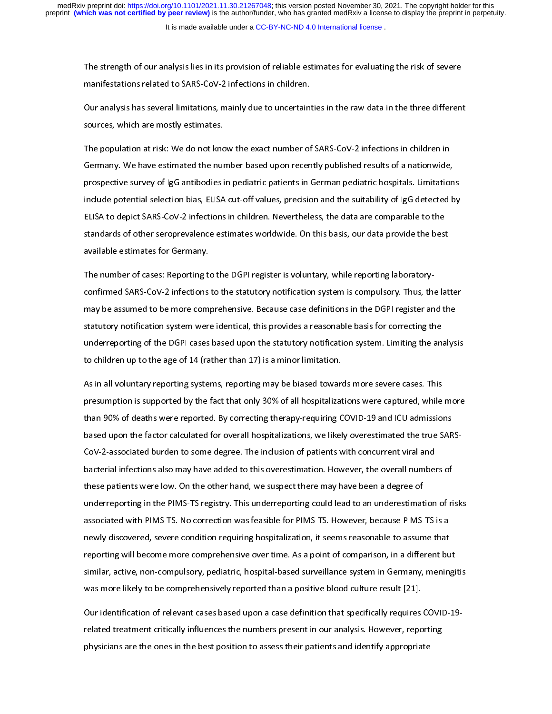The strength of our analysis related to SARS-CoV-2 infections in children.<br>
Our analysis has several limitations, mainly due to uncertainties in the raw data in the three different<br>
sources, which are mostly estimates.<br>
Th

Manuscriptions relations relations mainly due to uncertaint<br>sources, which are mostly estimates.<br>The population at risk: We do not know the exact number of<br>Germany. We have estimated the number based upon recent<br>prespectiv Sources, which are mostly estimates.<br>
The population at risk: We do not know the exact number of SARS-CoV-2 infections in children in<br>
Germany. We have estimated the number based upon recently published results of a nation sources, which are mostly commated.<br>The population at risk: We do not know<br>Germany. We have estimated the nur<br>prospective survey of IgG antibodies i<br>include potential selection bias, ELISA<br>ELISA to depict SARS-CoV-2 infect The population at rank of a national the international correction of Commany. We have estimated the number based upon recently published results of a nationwide, prospective survey of IgG antibodies in pediatric patients i prospective survey of IgG antibodies in pediatric patients in German pediatric hospitals. Limitation<br>include potential selection bias, ELISA cut-off values, precision and the suitability of IgG detected based ELISA to depi prospective survey surge antibodies penaltric patients in setting penaltric patients include potential selection bias, ELISA cut-off values, precision and the suitability of IgG detected by ELISA to depict SARS-CoV-2 infec include potential selection bias, and the state of position interestion, prediction bias.<br>ELISA to depict SARS-CoV-2 infections in children. Nevertheless, the data are comparable to the<br>standards of other seroprevalence es

ELITE TO DEPTET SARS-COTE THE CONTROLL INTERTMENT AND NON-LITE SARD AND LOCATE STARS STARS AND STARS-COTE AND<br>A RARIABLE ESTIMATES for Germany.<br>The number of cases: Reporting to the DGPI register is voluntary, while report available estimates for Germany.<br>The number of cases: Reporting to the DGPI register is voluntary, while reporting laboratory-<br>confirmed SARS-CoV-2 infections to the statutory notification system is compulsory. Thus, the l The number of cases: Reporting to<br>Confirmed SARS-CoV-2 infections<br>may be assumed to be more comp<br>statutory notification system were<br>underreporting of the DGPI cases The number of cases: Reporting to the DGPI register is volume  $\mathcal{P}_i$  register is volume reporting laboratorycommon same of the monomentary of the statutions in the DGPI register and the<br>statutory notification system were identical, this provides a reasonable basis for correcting the<br>underreporting of the DGPI cases based upon th may be attempted to be more comprehensive. Between the communition in the BSP contracting the<br>statutory notification system were identical, this provides a reasonable basis for correcting the<br>underreporting of the DGPI cas

statutory in the first interesting the protect of the transformation system. Limiting the anti-<br>statutory notification system. Limiting the anti-<br>to children up to the age of 14 (rather than 17) is a minor limitation.<br>As i underly paints of the DDPI cases by the DDPI cases by the statutory presume antiting the analysis<br>to children up to the age of 14 (rather than 17) is a minor limitation.<br>As in all voluntary reporting systems, reporting may The children up to the age of 14 (rather than 17) is a minor minimum on<br>As in all voluntary reporting systems, reporting may be biased toware<br>presumption is supported by the fact that only 30% of all hospitalizat<br>than 90% presumption is supported by the fact that only 30% of all hospitalizations were captured, while<br>than 90% of deaths were reported. By correcting therapy-requiring COVID-19 and ICU admission<br>based upon the factor calculated presumption is supported by the factor in the factor of that only 30% of deaths were reported. By correcting therapy-requiring COVID-19 and ICU admissions based upon the factor calculated for overall hospitalizations, we l than 90% of these dupon the factor calculated for overall hospitalizations, we likely overestimated the true SAR<br>CoV-2-associated burden to some degree. The inclusion of patients with concurrent viral and<br>bacterial infecti based upon the factor calculated for overall hospitalizations, we likely overall hospitalizations, we have SARS-Example and the included burden to patient the patients with concern the included between the spatients were low. On the other hand, we suspect there may have been a degree of underreporting in the PIMS-TS registry. This u these patients were low. On the other hand, we suspect there may have been a degree of<br>underreporting in the PIMS-TS registry. This underreporting could lead to an underestimation of ri<br>associated with PIMS-TS. No correcti These patients were condition was feasible for PIMS-TS. However, because PIMS-<br>associated with PIMS-TS. No correction was feasible for PIMS-TS. However, because PIMS-<br>newly discovered, severe condition requiring hospitaliz associated with PIMS-TS. No correction was feasible for PIMS-TS. However, because PIMS-TS is a<br>newly discovered, severe condition requiring hospitalization, it seems reasonable to assume that<br>reporting will become more com assessment with the correction was continual continue of the correction process and the reporting will become more comprehensive over time. As a point of comparison, in a different but similar, active, non-compulsory, pedi neutry and the value of an among the promoting of the assemble to assume that the similar, active, non-compulsory, pediatric, hospital-based surveillance system in Germany, mening was more likely to be comprehensively repo

reporting similar, active, non-compulsory, pediatric, hospital-based surveillance system in Germany, meningity<br>was more likely to be comprehensively reported than a positive blood culture result [21].<br>Our identification of similar, active, non-computer, pediatric, morphim and denoted surveillance system in dentities, mention, mentio<br>was more likely to be comprehensively reported than a positive blood culture result [21].<br>Our identification o Our identification of relevant cases based upon a case definition that specifically requires<br>related treatment critically influences the numbers present in our analysis. However, report<br>physicians are the ones in the best Particular of relevant cases the relevant of pertaining that subspace during prediction, requires COVID-19-<br>related treatment critically influences the numbers present in our analysis. However, reporting<br>physicians are the physicians are the ones in the best position to assess their patients and identify appropriate<br>physicians are the ones in the best position to assess their patients and identify appropriate physicians are the ones in the best position to assess their patients and identify appropriate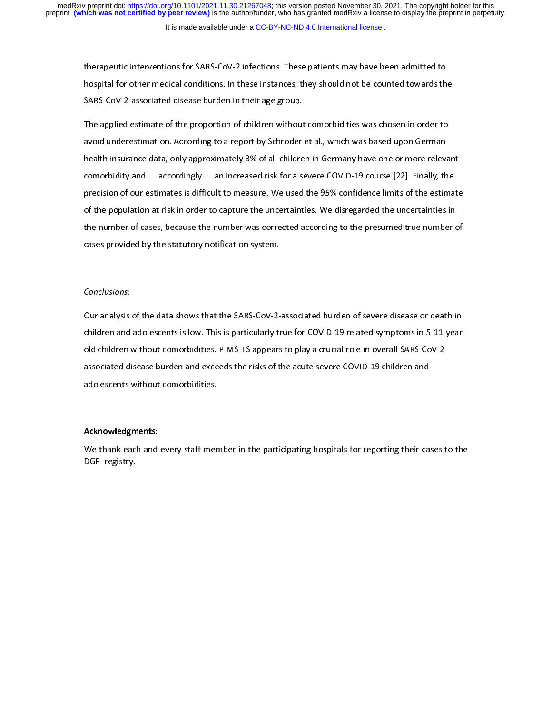therapeutic interventions for Same Internetions for Spatial and the counted towards there is and the SARS-CoV-2-associated disease burden in their age group.<br>The applied estimate of the proportion of children without comor SARS-CoV-2-associated disease burden in their age group.<br>The applied estimate of the proportion of children without comorbidities was chosen in order to<br>avoid underestimation. According to a report by Schröder et al., whic The applied estimate of the proportion of children without<br>avoid underestimation. According to a report by Schröder<br>health insurance data, only approximately 3% of all childre<br>comorbidity and — accordingly — an increased r avoid underestimation. According to a report by Schröder et al., which was based upon German<br>health insurance data, only approximately 3% of all children in Germany have one or more releva<br>comorbidity and — accordingly and the insurated underestimated the report by Schröder et al., which was based upon the section.<br>
According to a recording to a report of a reverse COVID-19 course [22]. Finally, the<br>
precision of our estimates is difficu health insulation and  $-$  accordingly  $-$  an increased risk for a severe COVID-19 course [22]. Finally, the precision of our estimates is difficult to measure. We used the 95% confidence limits of the estimate of the popul precision of our estimates is difficult to measure. We used the 95% confidence limits of the estima<br>of the population at risk in order to capture the uncertainties. We disregarded the uncertainties in<br>the number of cases, precision of the population at risk in order to capture the uncertainties. We disregarded the uncertainties in<br>the number of cases, because the number was corrected according to the presumed true number of<br>cases provided b of the number of cases, because the number was corrected according to the presumed true number cases provided by the statutory notification system.<br>Conclusions: the statutory notification system.<br>The number of cases provided by the statutory notification system.<br>The number of severe disease or death in our analysis of the data shows that the SARS-CoV-2-associated burden of severe

#### Conclusions:

conclusions:<br>Conclusions:<br>Our analysis of the data shows that the SARS-CoV-2-<br>children and adolescents is low. This is particularly tr children and adolescents is low. This is particularly true for COVID-19 related symptoms in 5-11-year-<br>old children without comorbidities. PIMS-TS appears to play a crucial role in overall SARS-CoV-2<br>associated disease bur associated disease burden and exceeds the risks of the acute severe COVID-19 children and<br>adolescents without comorbidities.<br>Acknowledgments:

#### children and adolescents is low. This is particularly true for COVID-19 relationships in  $\mathcal{L}$ Acknowledgments:

adolescents without comorbidities.<br>adolescents without comorbidities.<br>We thank each and every staff member in the participating hospitals for reporting their ca<br>DGPI registry. adolescents with a comorbidities.<br>Acknowledgments:<br>We thank each and every staff men<br>DGPI registry.  $\frac{1}{1}$ We thank each and every staff member in the participating in the participating their cases to the<br>DGPI registry. DGPI registry.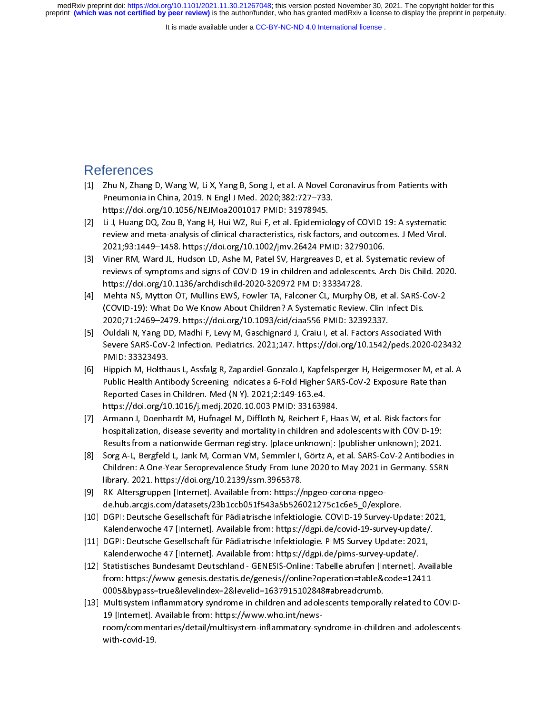It is made available under a [CC-BY-NC-ND 4.0 International license](http://creativecommons.org/licenses/by-nc-nd/4.0/) .

# $\begin{bmatrix} 1 \\ 1 \end{bmatrix}$ References

- $\begin{bmatrix} 1 \\ 1 \end{bmatrix}$
- E. The mean on a in China, 2019. N Engl J Med. 2020;382:727–733.<br>
https://doi.org/10.1056/NEJMoa2001017 PMID: 31978945.<br>
[2] Li J, Huang DQ, Zou B, Yang H, Hui WZ, Rui F, et al. Epidemiology of COVID-19: A systematic<br>
revi https://doi.org/10.1056/NEJMoa2001017 PMID: 31978945.<br>Li J, Huang DQ, Zou B, Yang H, Hui WZ, Rui F, et al. Epidemiolo<br>review and meta-analysis of clinical characteristics, risk factor<br>2021;93:1449–1458. https://doi.org/10. Li J, Huang DQ, Zou B, Yang H, Hui WZ, Rui F, et al. Epidemiol<br>review and meta-analysis of clinical characteristics, risk facto<br>2021;93:1449–1458. https://doi.org/10.1002/jmv.26424 PM<br>Viner RM, Ward JL, Hudson LD, Ashe M,
- review and meta-analysis of clinical characteristics, risk factors, and outcomes. J Med Virol.<br>
2021;93:1449–1458. https://doi.org/10.1002/jmv.26424 PMID: 32790106.<br>
[3] Viner RM, Ward JL, Hudson LD, Ashe M, Patel SV, Harg 2021;93:1449–1458. https://doi.org/10.1002/jmv.26424 PMID: 32790106.<br>Viner RM, Ward JL, Hudson LD, Ashe M, Patel SV, Hargreaves D, et al. Systematic review of<br>reviews of symptoms and signs of COVID-19 in children and adole Viner RM, Ward JL, Hudson LD, Ashe M, Patel SV, Hargreaves D, et al. Syste<br>reviews of symptoms and signs of COVID-19 in children and adolescents. Ar<br>https://doi.org/10.1136/archdischild-2020-320972 PMID: 33334728.<br>Mehta NS
- [3] Viner RM, Premeric Premeric Premeric Premeric Premeric Premeric Premeric Reviews of symptoms and signs of COVID-19 in children and adolescents. Arch Dis Child. 20:<br>https://doi.org/10.1136/archdischild-2020-320972 PMID:
- https://doi.org/10.1136/archdischild-2020-320972 PMID: 33334728.<br>Mehta NS, Mytton OT, Mullins EWS, Fowler TA, Falconer CL, Murphy OB, et al. SARS-CoV-2<br>(COVID-19): What Do We Know About Children? A Systematic Review. Clin mapper, and any total in the EWS, Fowler TA, Falconer CL, Murphy<br>
(COVID-19): What Do We Know About Children? A Systematic Review<br>
2020;71:2469–2479. https://doi.org/10.1093/cid/ciaa556 PMID: 3233<br>
Ouldali N, Yang DD, Madh (COVID-19): What Do We Know About Children? A Systematic Review. Clin Infect Dis.<br>
2020;71:2469-2479. https://doi.org/10.1093/cid/ciaa556 PMID: 32392337.<br>
[5] Ouldali N, Yang DD, Madhi F, Levy M, Gaschignard J, Craiu I, et
- (COVID-2469-2479. https://doi.org/10.1093/cid/ciaa556 PMID: 32392337.<br>2020;71:2469–2479. https://doi.org/10.1093/cid/ciaa556 PMID: 32392337.<br>Ouldali N, Yang DD, Madhi F, Levy M, Gaschignard J, Craiu I, et al. Factors Assoc 2020;71:2469–2479. https://doi.org/10.1093/cid/ciaa556 PMID: 32392337. [5] Oulder SARS-CoV-2 Infection. Pediatrics. 2021;147. https://doi.org/10.1542/peds.2020-02:<br>
PMID: 33323493.<br>
[6] Hippich M, Holthaus L, Assfalg R, Zapardiel-Gonzalo J, Kapfelsperger H, Heigermoser M, et<br>
Public Health An PMID: 33323493.<br>Hippich M, Holthaus L, Assfalg R, Zapardiel-Gonzalo J, Kapfelsperger H, Heigermoser M, et al. A<br>Public Health Antibody Screening Indicates a 6-Fold Higher SARS-CoV-2 Exposure Rate than<br>Reported Cases in Chi Mippich M, Holtha<br>Public Health Anti<br>Reported Cases in<br>https://doi.org/1C<br>Armann J, Doenha<br>hospitalization, dis<br>Results from a nat Public Health Antibody Screening Indicates a 6-Fold Higher SARS-CoV-2 Exposure Rate than<br>
Reported Cases in Children. Med (N Y). 2021;2:149-163.e4.<br>
https://doi.org/10.1016/j.medj.2020.10.003 PMID: 33163984.<br>
[7] Armann J,
- Reported Cases in Children. Med (N Y). 2021;2:149-163.e4.<br>https://doi.org/10.1016/j.medj.2020.10.003 PMID: 33163984.<br>Armann J, Doenhardt M, Hufnagel M, Diffloth N, Reichert F, Haas W, et al. Risk factors for<br>hospitalizatio Reported Cases in Children. (11, 2020, 2020)<br>
Armann J, Doenhardt M, Hufnagel M, Diffloth N, Reichert F,<br>
hospitalization, disease severity and mortality in children ar<br>
Results from a nationwide German registry. [place un Armann J, Doenhardt M, Hufnagel M, Diffloth N, Reichert F, Ha<br>hospitalization, disease severity and mortality in children and a<br>Results from a nationwide German registry. [place unknown]: [<br>Sorg A-L, Bergfeld L, Jank M, Co
- hospitalization, disease severity and mortality in children and adolescents with COVID-19:<br>
Results from a nationwide German registry. [place unknown]: [publisher unknown]; 2021.<br>
[8] Sorg A-L, Bergfeld L, Jank M, Corman V hospitalization, disease series and more controlled the seasons and more controlled to the Seasons A-L, Bergfeld L, Jank M, Corman VM, Semmler I, Görtz A, et al. SARS-CoV-2 Antibodies<br>Children: A One-Year Seroprevalence St Sorg A-L, Bergfeld L, Jank M, Corman VM, Semmler I, Görtz A, et al. SARS-CoV-2 Antibodies<br>Children: A One-Year Seroprevalence Study From June 2020 to May 2021 in Germany. SSR<br>library. 2021. https://doi.org/10.2139/ssrn.396 Children: A One-Year Seroprevalence Study From June 2020 to May 2021 in Germany. SSRN<br>
library. 2021. https://doi.org/10.2139/ssrn.3965378.<br>
[9] RKI Altersgruppen [Internet]. Available from: https://npgeo-corona-npgeo-<br>
de
- RKI Altersgruppen [Internet]. Available from: https://<br>de.hub.arcgis.com/datasets/23b1ccb051f543a5b5260<br>DGPI: Deutsche Gesellschaft für Pädiatrische Infektiol<br>Kalenderwoche 47 [Internet]. Available from: https://<br>DGPI: Deu
- library. 2021. https://doi.org/10.2139/ssrn.3965378.<br>RKI Altersgruppen [Internet]. Available from: https://npgeo-corona-npgeo-<br>de.hub.arcgis.com/datasets/23b1ccb051f543a5b526021275c1c6e5\_0/explore.<br>DGPI: Deutsche Gesellsch
- 
- from: https://www-genesis.destatis.de/genesis//online?operation=table&code=12411-<br>0005&bypass=true&levelindex=2&levelid=1637915102848#abreadcrumb. DGPI: Deutsche Gesellschaft für Pädiatrische Infektiologie. COVID-19 Survey-Up<br>Kalenderwoche 47 [Internet]. Available from: https://dgpi.de/covid-19-survey-u<br>DGPI: Deutsche Gesellschaft für Pädiatrische Infektiologie. PIMS Kalenderwoche 47 [Internet]. Available from: https://dgpi.de/covid-19-survey-update/.<br>
[11] DGPI: Deutsche Gesellschaft für Pädiatrische Infektiologie. PIMS Survey Update: 2021,<br>
Kalenderwoche 47 [Internet]. Available from Material Christian Palakirische Infektiologie. PIMS Survey Update: 2021,<br>DGPI: Deutsche Gesellschaft für Pädiatrische Infektiologie. PIMS Survey Update: 2021,<br>Kalenderwoche 47 [Internet]. Available from: https://dgpi.de/pi
- Kalenderwoche 47 [Internet]. Available from: https://dgpi.de/pims-survey-update/.<br>
[12] Statistisches Bundesamt Deutschland GENESIS-Online: Tabelle abrufen [Internet]. Ava<br>
from: https://www-genesis.destatis.de/genesis// Statistisches Bundesamt Deutschland - GENESIS-Online: Tabelle abrufen [Internet]. A<br>from: https://www-genesis.destatis.de/genesis//online?operation=table&code=124<br>0005&bypass=true&levelindex=2&levelid=1637915102848#abreadc [12] Statistical Accords: Accords: Accords: Accords: Accords: Accords: Accords: Accords: Accords: Accords: Accords: 2011-0005&bypass=true&levelindex=2&levelid=1637915102848#abreadcrumb.<br>
[13] Multisystem inflammatory syndr orthom: https://www.witcheral.com/constation/2005<br>from: https://www.who.int/news-constation-plated to<br>19 [Internet]. Available from: https://www.who.int/news-<br>room/commentaries/detail/multisystem-inflammatory-syndrome-in-c 0005&bypass=true&levelindex=2&levelid=1637915102848#abreadcrumb.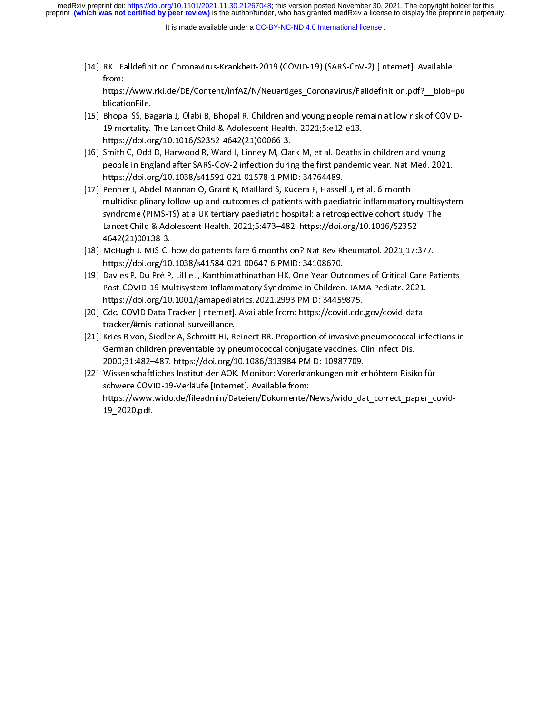It is made available under a [CC-BY-NC-ND 4.0 International license](http://creativecommons.org/licenses/by-nc-nd/4.0/) .

- [14] REP (2018 21) (2018 21) (2018 21) (2018 21) (2018 21) (2018 21) (2018 21) (2018 21) (2018 21) (2018 21) (2019 21) (2019 21) (2019 21) (2019 21) (2019 21) (2019 21) (2019 21) (2019 21) (3019 21) (3019 21) (3019 21) (30 mann<br>https:<br>blicati<br>Bhopa<br>19 mc<br>https:<br>Smith<br>people blicationFile.<br>Bhopal SS, Bagaria J, Olabi B, Bhopal R. Children and young people remain at low risk of COVID-<br>19 mortality. The Lancet Child & Adolescent Health. 2021;5:e12-e13.<br>https://doi.org/10.1016/S2352-4642(21)00066
- Bhopal SS, Ba<br>19 mortality.<br>https://doi.or<br>Smith C, Odd<br>people in Eng<br>https://doi.or<br>Penner J, Abd
- multidisciplinary follow-up and outcomes of patients with paediatric inflammatory multisystem<br>syndrome (PIMS-TS) at a UK tertiary paediatric hospital: a retrospective cohort study. The https://doi.org/10.1016/S2352-4642(21)00066-3.<br>Smith C, Odd D, Harwood R, Ward J, Linney M, Clark M, et al. Deaths is<br>people in England after SARS-CoV-2 infection during the first pandem<br>https://doi.org/10.1038/s41591-021-Smith C, Odd D, Harwood R, Ward J, Linney M, Cla<br>people in England after SARS-CoV-2 infection durint<br>thtps://doi.org/10.1038/s41591-021-01578-1 PMI<br>Penner J, Abdel-Mannan O, Grant K, Maillard S, Ku<br>multidisciplinary follow [18] MeHugh LMIS C; how do patients fare 6 menths on? Nat Boy Bhoumatel 2021;<br>
169 mentrus (16) or and other and outcomes of patients with paeliatric inflammatory multisys<br>
17] Penner J, Abdel-Mannan O, Grant K, Maillard S people in England after SARS-Coverage in England after SARS-Correct Coverage in England B. Penner J, Abdel-Mannan O, Grant K, Maillard S, Kucera F, Hassell J, et al. 6-month<br>
multidisciplinary follow-up and outcomes of pat Penner J, Abdel-Mannan O, Grant K, Maillard S, Kucera F, Hassel<br>multidisciplinary follow-up and outcomes of patients with paedisyndrome (PIMS-TS) at a UK tertiary paediatric hospital: a retros<br>Lancet Child & Adolescent Hea multidisciplinary follow-up and outcomes of patients with paediatric inflammatory<br>syndrome (PIMS-TS) at a UK tertiary paediatric hospital: a retrospective cohort stu<br>Lancet Child & Adolescent Health. 2021;5:473–482. https: syndrome (PIMS-TS) at a UK tertiary paediatric hospital: a retrospective cohort study. The<br>Lancet Child & Adolescent Health. 2021;5:473–482. https://doi.org/10.1016/S2352-<br>4642(21)00138-3.<br>McHugh J. MIS-C: how do patients
- 
- syndrome (PIMS-TS) are a Prioritory paediatric Maryland Princy Promotors (201352352-4642(21)00138-3.<br>Ada2(21)00138-3.<br>McHugh J. MIS-C: how do patients fare 6 months on? Nat Rev Rheumatol. 2021;17:377.<br>https://doi.org/10.10 4642(21)00138-3.<br>A642(21)00138-3.<br>McHugh J. MIS-C: how do patients fare 6 months on? Nat Rev Rheumatol. 2021;17:5<br>https://doi.org/10.1038/s41584-021-00647-6 PMID: 34108670.<br>Davies P, Du Pré P, Lillie J, Kanthimathinathan H McHugh J. MIS-C: |<br>https://doi.org/10<br>Davies P, Du Pré P,<br>Post-COVID-19 Mu<br>https://doi.org/10<br>Cdc. COVID Data T<br>tracker/#mis-natio https://doi.org/10.1038/s41584-021-00647-6 PMID: 34108670.<br>
[19] Davies P, Du Pré P, Lillie J, Kanthimathinathan HK. One-Year Outcomes of Critical Care Pa<br>
Post-COVID-19 Multisystem Inflammatory Syndrome in Children. JAMA Davies P, Du Pré P, Lillie J, Kanthimathinathan HK. One-Year Out-<br>Post-COVID-19 Multisystem Inflammatory Syndrome in Children<br>https://doi.org/10.1001/jamapediatrics.2021.2993 PMID: 34459<br>Cdc. COVID Data Tracker [Internet].
- 
- Fost-COVID-19 Multisystem Inflammatory Syndrome in Children. JAMA Pediatr. 2021.<br>
https://doi.org/10.1001/jamapediatrics.2021.2993 PMID: 34459875.<br>
[20] Cdc. COVID Data Tracker [Internet]. Available from: https://covid.cdc Post-Covin 19 Verläufe International Available from: https://covid.cdc.gov/covid-data-<br>Post-Covid-Core Internet I. Available from: https://covid.cdc.gov/covid-data-<br>tracker/#mis-national-surveillance.<br>Kries R von, Siedler https://covid.cdc.covid.ataTracker/Hmis-national-surveillance.com/https://covid.cdc.covid.cdc.com/https://covid.cdc.com/https://covid.cdc.com/https://covid.cdc.com/https://covid.cdc.com/https://doi.com/https://doi.org/10.1
- $\begin{bmatrix} 2020 \text{ rad} \\ 2020 \text{ rad} \end{bmatrix}$ Kries R von, Siedler A, Schmitt HJ, Re<br>German children preventable by pn<br>2000;31:482–487. https://doi.org/1<br>Wissenschaftliches Institut der AOK<br>schwere COVID-19-Verläufe [Interne<br>https://www.wido.de/fileadmin/Da<br>19\_2020.pd German children preventable by pneumococcal conjugate vaccines. Clin Infect Dis.<br>
2000;31:482–487. https://doi.org/10.1086/313984 PMID: 10987709.<br>
[22] Wissenschaftliches Institut der AOK. Monitor: Vorerkrankungen mit erhö 2000;31:482–487. https://doi.org/10.1086/313984 PMID: 10987709.<br>Wissenschaftliches Institut der AOK. Monitor: Vorerkrankungen mit erhöhtem Risik<br>schwere COVID-19-Verläufe [Internet]. Available from:<br>https://www.wido.de/fil 2000;31:482–487. https://doi.org/10.1086/313984 PMID: 10987709. schwere COVID-19-Verläufe [Internet]. Available from:<br>https://www.wido.de/fileadmin/Dateien/Dokumente/News/wido\_dat\_correct\_paper\_co<br>19\_2020.pdf. https://www.wido.de/fileadmin/Dateien/Dokumente/I<br>19\_2020.pdf.<br>. 19\_2020.pdf.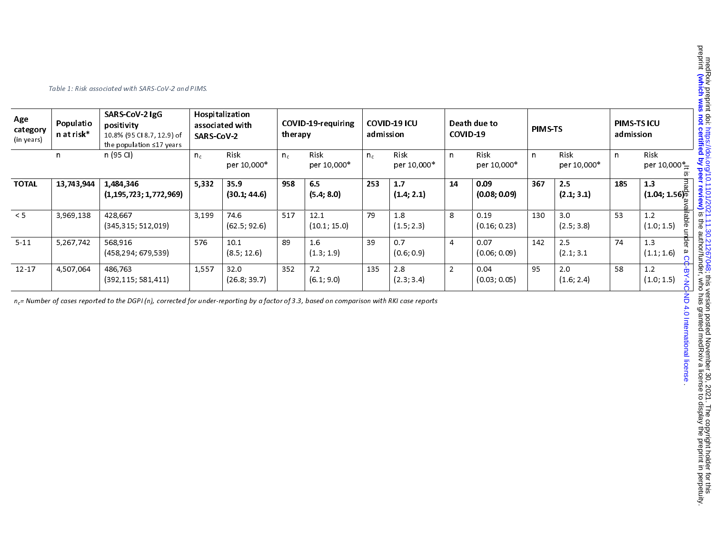| Age<br>category<br>(in years) | Populatio<br>n at risk* | SARS-CoV-2 IgG<br>Hospitalization<br>positivity<br>associated with<br>10.8% (95 Cl 8.7, 12.9) of<br><b>SARS-CoV-2</b><br>the population ≤17 years |       |                      | COVID-19-requiring<br>therapy |                      | <b>COVID-19 ICU</b><br>admission |                     | Death due to<br>COVID-19 |                      | PIMS-TS      |                     | PIMS-TS ICU<br>admission |                                                         |                                         |
|-------------------------------|-------------------------|---------------------------------------------------------------------------------------------------------------------------------------------------|-------|----------------------|-------------------------------|----------------------|----------------------------------|---------------------|--------------------------|----------------------|--------------|---------------------|--------------------------|---------------------------------------------------------|-----------------------------------------|
|                               | n                       | n (95 Cl)                                                                                                                                         | $n_c$ | Risk<br>per 10,000*  | $n_c$                         | Risk<br>per 10,000*  | $n_c$                            | Risk<br>per 10,000* | n.                       | Risk<br>per 10,000*  | $\mathsf{n}$ | Risk<br>per 10,000* | $\mathsf{n}$             | Risk<br>per 10,000 $*_{\equiv}$                         | 5                                       |
| <b>TOTAL</b>                  | 13,743,944              | 1,484,346<br>(1, 195, 723; 1, 772, 969)                                                                                                           | 5,332 | 35.9<br>(30.1, 44.6) | 958                           | 6.5<br>(5.4, 8.0)    | 253                              | 1.7<br>(1.4, 2.1)   | 14                       | 0.09<br>(0.08; 0.09) | 367          | 2.5<br>(2.1; 3.1)   | 185                      | $\frac{13}{(1.04; 1.56)^{\frac{3}{10}}_{\frac{3}{10}}}$ |                                         |
| < 5                           | 3,969,138               | 428,667<br>(345, 315, 512, 019)                                                                                                                   | 3,199 | 74.6<br>(62.5; 92.6) | 517                           | 12.1<br>(10.1; 15.0) | 79                               | 1.8<br>(1.5; 2.3)   | 8                        | 0.19<br>(0.16; 0.23) | 130          | 3.0<br>(2.5; 3.8)   | 53                       | 1.2<br>(1.0; 1.5)                                       | wajiable under                          |
| $5 - 11$                      | 5,267,742               | 568.916<br>(458,294; 679,539)                                                                                                                     | 576   | 10.1<br>(8.5; 12.6)  | 89                            | 1.6<br>(1.3; 1.9)    | 39                               | 0.7<br>(0.6; 0.9)   | $\overline{4}$           | 0.07<br>(0.06; 0.09) | 142          | 2.5<br>(2.1; 3.1)   | 74                       | 1.3<br>(1.1; 1.6)                                       |                                         |
| $12 - 17$                     | 4,507,064               | 486,763<br>(392, 115, 581, 411)                                                                                                                   | 1,557 | 32.0<br>(26.8, 39.7) | 352                           | 7.2<br>(6.1; 9.0)    | 135                              | 2.8<br>(2.3; 3.4)   | $\overline{2}$           | 0.04<br>(0.03; 0.05) | 95           | 2.0<br>(1.6; 2.4)   | 58                       | $1.2$<br>(1.0; 1.5)                                     |                                         |
|                               |                         | $n_c$ Number of cases reported to the DGPI (n), corrected for under-reporting by a factor of 3.3, based on comparison with RKI case reports       |       |                      |                               |                      |                                  |                     |                          |                      |              |                     |                          |                                                         | a CC-BY-NC-ND 4.0 International license |

Table 1: Risk associated with SARS-CoV-2 and PIMS.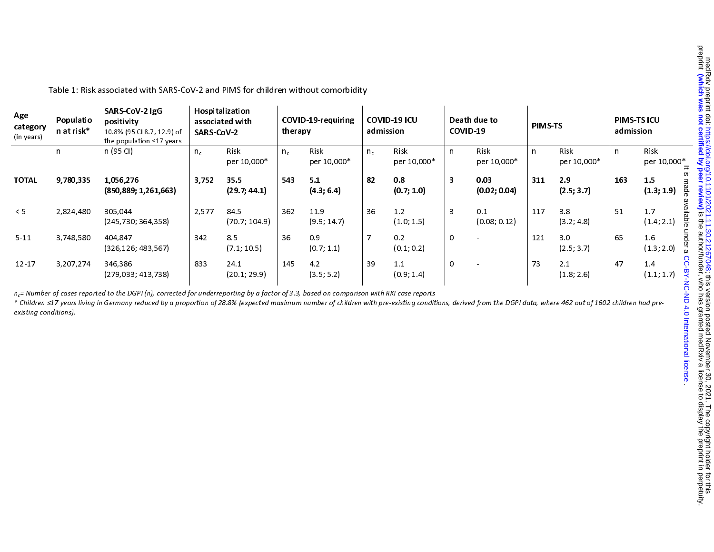| Age<br>category<br>(in years) | Populatio<br>n at risk*<br>n | SARS-CoV-2 IgG<br>positivity<br>10.8% (95 Cl 8.7, 12.9) of<br>the population ≤17 years<br>n (95 CI)                                                                                                                                                                                                                                                            | Hospitalization<br>associated with<br><b>SARS-CoV-2</b> |                       | COVID-19-requiring<br>therapy |                     | COVID-19 ICU<br>admission |                     | Death due to<br>COVID-19 |                      | PIMS-TS |                     | PIMS-TS ICU<br>admission |                       |
|-------------------------------|------------------------------|----------------------------------------------------------------------------------------------------------------------------------------------------------------------------------------------------------------------------------------------------------------------------------------------------------------------------------------------------------------|---------------------------------------------------------|-----------------------|-------------------------------|---------------------|---------------------------|---------------------|--------------------------|----------------------|---------|---------------------|--------------------------|-----------------------|
|                               |                              |                                                                                                                                                                                                                                                                                                                                                                | $n_c$                                                   | Risk<br>per 10,000*   | $n_c$                         | Risk<br>per 10,000* | $n_c$                     | Risk<br>per 10,000* | $\mathsf{n}$             | Risk<br>per 10,000*  | n       | Risk<br>per 10,000* | $\mathsf{n}$             | Risk<br>per 10,000*   |
| <b>TOTAL</b>                  | 9,780,335                    | 1,056,276<br>(850, 889; 1, 261, 663)                                                                                                                                                                                                                                                                                                                           | 3,752                                                   | 35.5<br>(29.7; 44.1)  | 543                           | 5.1<br>(4.3, 6.4)   | 82                        | 0.8<br>(0.7; 1.0)   | $\overline{\mathbf{3}}$  | 0.03<br>(0.02; 0.04) | 311     | 2.9<br>(2.5; 3.7)   | 163                      | 1.5<br>(1.3; 1.9)     |
| < 5                           | 2,824,480                    | 305.044<br>(245,730; 364,358)                                                                                                                                                                                                                                                                                                                                  | 2.577                                                   | 84.5<br>(70.7; 104.9) | 362                           | 11.9<br>(9.9; 14.7) | 36                        | 1.2<br>(1.0; 1.5)   | 3                        | 0.1<br>(0.08; 0.12)  | 117     | 3.8<br>(3.2; 4.8)   | 51                       | 1.7<br>(1.4; 2.1)     |
| $5 - 11$                      | 3,748,580                    | 404,847<br>(326, 126, 483, 567)                                                                                                                                                                                                                                                                                                                                | 342                                                     | 8.5<br>(7.1; 10.5)    | 36                            | 0.9<br>(0.7; 1.1)   | $\overline{7}$            | 0.2<br>(0.1; 0.2)   | 0                        |                      | 121     | 3.0<br>(2.5; 3.7)   | 65                       | 1.6<br>(1.3; 2.0)     |
| $12 - 17$                     | 3,207,274                    | 346,386<br>(279, 033, 413, 738)                                                                                                                                                                                                                                                                                                                                | 833                                                     | 24.1<br>(20.1; 29.9)  | 145                           | 4.2<br>(3.5; 5.2)   | 39                        | 1.1<br>(0.9; 1.4)   | $\Omega$                 |                      | 73      | 2.1<br>(1.8; 2.6)   | 47                       | $1.4\,$<br>(1.1; 1.7) |
| existing conditions).         |                              | $n_c$ = Number of cases reported to the DGPI (n), corrected for underreporting by a factor of 3.3, based on comparison with RKI case reports<br>* Children ≤17 years living in Germany reduced by a proportion of 28.8% (expected maximum number of children with pre-existing conditions, derived from the DGPI data, where 462 out of 1602 children had pre- |                                                         |                       |                               |                     |                           |                     |                          |                      |         |                     |                          | hational<br>license   |

Table 1: Risk associated with SARS-CoV-2 and PIMS for children without comorbidity